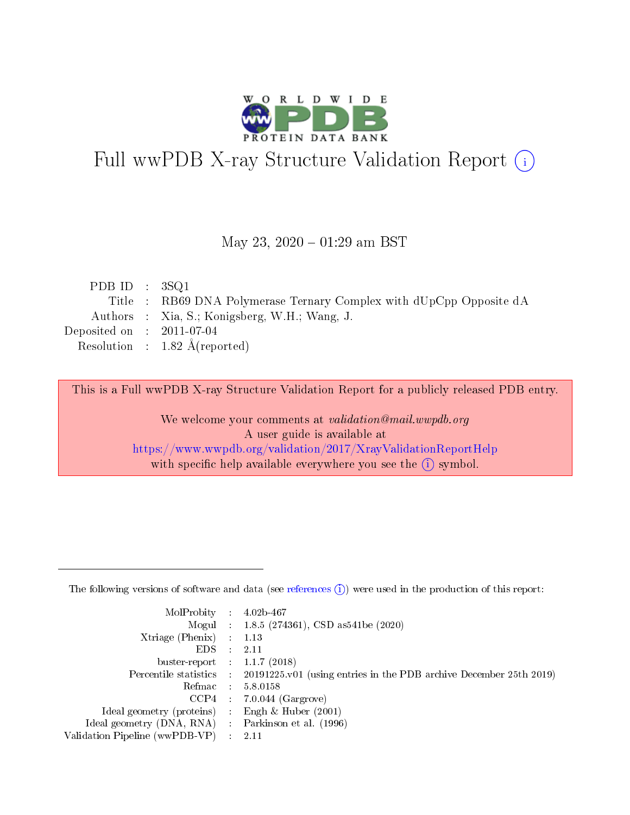

# Full wwPDB X-ray Structure Validation Report (i)

#### May 23,  $2020 - 01:29$  am BST

| PDB ID : $3SQ1$             |                                                                     |
|-----------------------------|---------------------------------------------------------------------|
|                             | Title : RB69 DNA Polymerase Ternary Complex with dUpCpp Opposite dA |
|                             | Authors : Xia, S.; Konigsberg, W.H.; Wang, J.                       |
| Deposited on : $2011-07-04$ |                                                                     |
|                             | Resolution : $1.82 \text{ Å}$ (reported)                            |
|                             |                                                                     |

This is a Full wwPDB X-ray Structure Validation Report for a publicly released PDB entry.

We welcome your comments at validation@mail.wwpdb.org A user guide is available at <https://www.wwpdb.org/validation/2017/XrayValidationReportHelp> with specific help available everywhere you see the  $(i)$  symbol.

The following versions of software and data (see [references](https://www.wwpdb.org/validation/2017/XrayValidationReportHelp#references)  $(1)$ ) were used in the production of this report:

| MolProbity :                   |               | $4.02b - 467$                                                               |
|--------------------------------|---------------|-----------------------------------------------------------------------------|
|                                |               | Mogul : $1.8.5$ (274361), CSD as 541be (2020)                               |
| $X$ triage (Phenix) :          |               | 1.13                                                                        |
| EDS.                           |               | 2.11                                                                        |
| buster-report : $1.1.7$ (2018) |               |                                                                             |
| Percentile statistics :        |               | $20191225 \text{v}01$ (using entries in the PDB archive December 25th 2019) |
| Refmac :                       |               | 5.8.0158                                                                    |
| $CCP4$ :                       |               | $7.0.044$ (Gargrove)                                                        |
| Ideal geometry (proteins) :    |               | Engh $\&$ Huber (2001)                                                      |
| Ideal geometry (DNA, RNA) :    |               | Parkinson et al. (1996)                                                     |
| Validation Pipeline (wwPDB-VP) | $\mathcal{L}$ | 2.11                                                                        |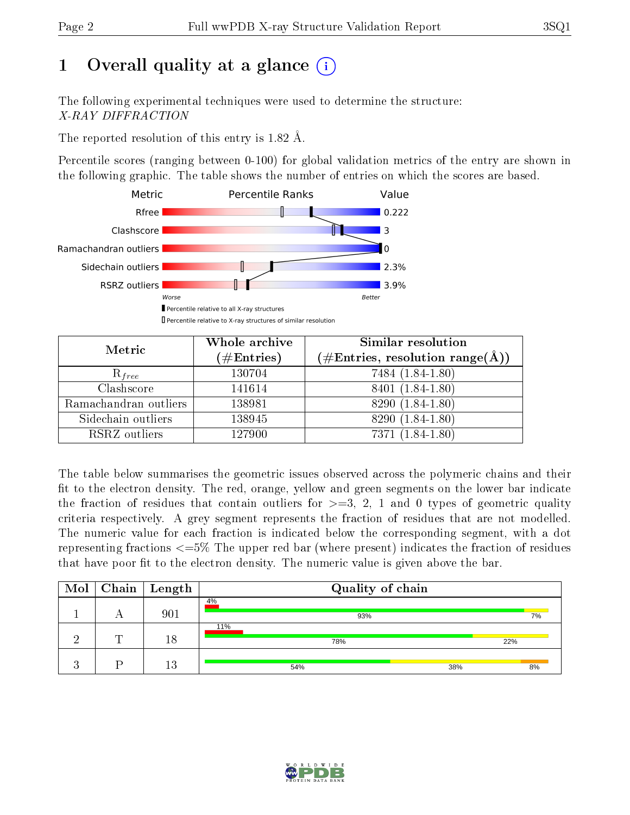# 1 [O](https://www.wwpdb.org/validation/2017/XrayValidationReportHelp#overall_quality)verall quality at a glance  $(i)$

The following experimental techniques were used to determine the structure: X-RAY DIFFRACTION

The reported resolution of this entry is 1.82 Å.

Percentile scores (ranging between 0-100) for global validation metrics of the entry are shown in the following graphic. The table shows the number of entries on which the scores are based.



| Metric                | Whole archive<br>$(\#\mathrm{Entries})$ | Similar resolution<br>$(\#\text{Entries}, \text{resolution range}(\textup{\AA}))$ |
|-----------------------|-----------------------------------------|-----------------------------------------------------------------------------------|
| $R_{free}$            | 130704                                  | 7484 (1.84-1.80)                                                                  |
| Clashscore            | 141614                                  | 8401 (1.84-1.80)                                                                  |
| Ramachandran outliers | 138981                                  | 8290 (1.84-1.80)                                                                  |
| Sidechain outliers    | 138945                                  | 8290 (1.84-1.80)                                                                  |
| RSRZ outliers         | 127900                                  | 7371 (1.84-1.80)                                                                  |

The table below summarises the geometric issues observed across the polymeric chains and their fit to the electron density. The red, orange, yellow and green segments on the lower bar indicate the fraction of residues that contain outliers for  $>=3, 2, 1$  and 0 types of geometric quality criteria respectively. A grey segment represents the fraction of residues that are not modelled. The numeric value for each fraction is indicated below the corresponding segment, with a dot representing fractions  $\epsilon=5\%$  The upper red bar (where present) indicates the fraction of residues that have poor fit to the electron density. The numeric value is given above the bar.

| Mol |   | $\vert$ Chain $\vert$ Length | Quality of chain |     |
|-----|---|------------------------------|------------------|-----|
|     |   | 901                          | 4%<br>93%        | 7%  |
|     | ┯ | 18                           | 11%<br>78%       | 22% |
|     |   | 13                           | 38%<br>54%       | 8%  |

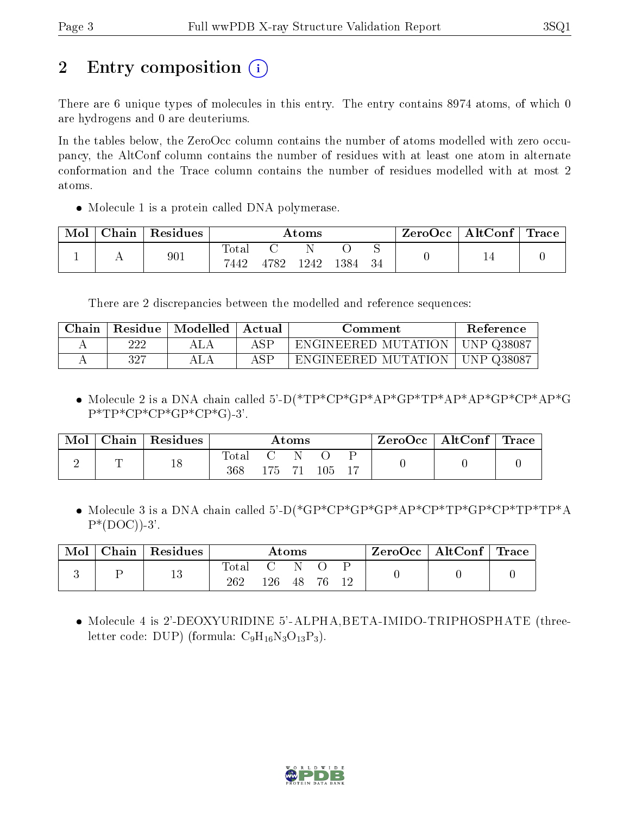# 2 Entry composition  $\binom{1}{1}$

There are 6 unique types of molecules in this entry. The entry contains 8974 atoms, of which 0 are hydrogens and 0 are deuteriums.

In the tables below, the ZeroOcc column contains the number of atoms modelled with zero occupancy, the AltConf column contains the number of residues with at least one atom in alternate conformation and the Trace column contains the number of residues modelled with at most 2 atoms.

• Molecule 1 is a protein called DNA polymerase.

| Chain | Residues |               |      | Atoms |      |    | ZeroOcc | AltConf $ $ | $\text{Trace}$ |
|-------|----------|---------------|------|-------|------|----|---------|-------------|----------------|
|       | 901      | Total<br>7442 | 4782 | 1242  | 1384 | 34 |         | 14          |                |

There are 2 discrepancies between the modelled and reference sequences:

| Chain |     | Residue   Modelled | ' Actual<br>Comment |                                  | Reference |
|-------|-----|--------------------|---------------------|----------------------------------|-----------|
|       | 222 | ALA                | ASP                 | ENGINEERED MUTATION   UNP 038087 |           |
|       | 327 |                    | ASF                 | ENGINEERED MUTATION   UNP Q38087 |           |

 Molecule 2 is a DNA chain called 5'-D(\*TP\*CP\*GP\*AP\*GP\*TP\*AP\*AP\*GP\*CP\*AP\*G  $P^*TP^*CP^*CP^*GP^*CP^*G$ -3'.

| Mol | Chain | Residues |              |     | Atoms |         |  | $\text{ZeroOcc} \mid \text{AltConf} \mid$ | $^{\shortmid}$ Trace |
|-----|-------|----------|--------------|-----|-------|---------|--|-------------------------------------------|----------------------|
| ↵   |       | 18       | Total<br>368 | 175 |       | $105\,$ |  |                                           |                      |

• Molecule 3 is a DNA chain called 5'-D(\*GP\*CP\*GP\*GP\*AP\*CP\*TP\*GP\*CP\*TP\*TP\*A  $P^*(DOC)$ )-3'.

| Chain | Residues |        |       | Atoms |    |  | $ZeroOcc \mid AltConf \mid Trace \mid$ |  |
|-------|----------|--------|-------|-------|----|--|----------------------------------------|--|
|       | 13       | l`otal | I 26. | 48    | 76 |  |                                        |  |

 Molecule 4 is 2'-DEOXYURIDINE 5'-ALPHA,BETA-IMIDO-TRIPHOSPHATE (threeletter code: DUP) (formula:  $C_9H_{16}N_3O_{13}P_3$ ).

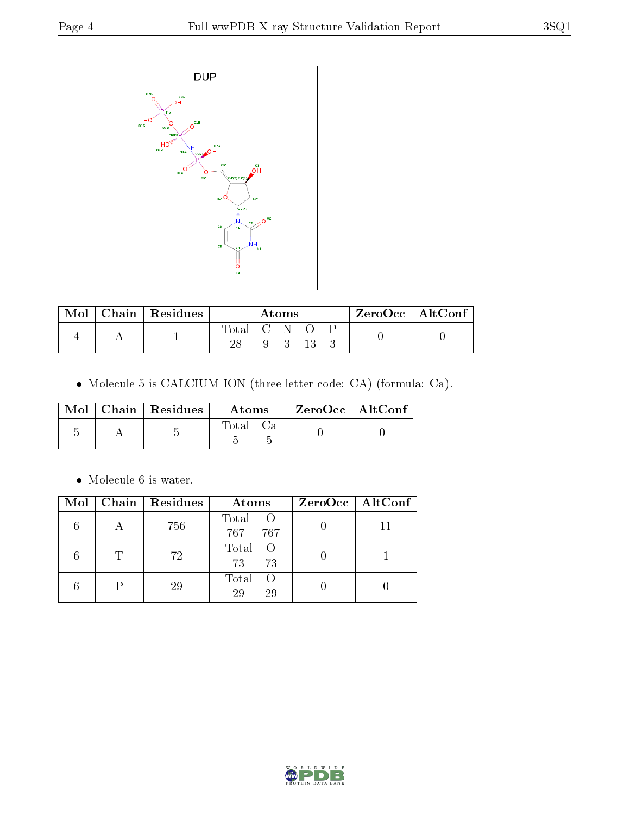

| $\operatorname{Mol}$ | $\vert$ Chain   Residues |             | Atoms |    | ZeroOcc   AltConf |  |
|----------------------|--------------------------|-------------|-------|----|-------------------|--|
|                      |                          | Total C N O |       |    |                   |  |
|                      |                          |             |       | 13 |                   |  |

Molecule 5 is CALCIUM ION (three-letter code: CA) (formula: Ca).

|  | Mol $\vert$ Chain $\vert$ Residues $\vert$ | Atoms | $\rm ZeroOcc$   $\rm AltConf$ |  |
|--|--------------------------------------------|-------|-------------------------------|--|
|  |                                            | Total |                               |  |

 $\bullet\,$  Molecule 6 is water.

|              | $Mol$   Chain   Residues | Atoms                      | $ZeroOcc \mid AltConf \mid$ |
|--------------|--------------------------|----------------------------|-----------------------------|
|              | 756                      | Total<br>- 0<br>767<br>767 |                             |
| $\mathbb{T}$ | 72                       | Total<br>73<br>73          |                             |
|              | 29                       | Total<br>- ()<br>29<br>29  |                             |

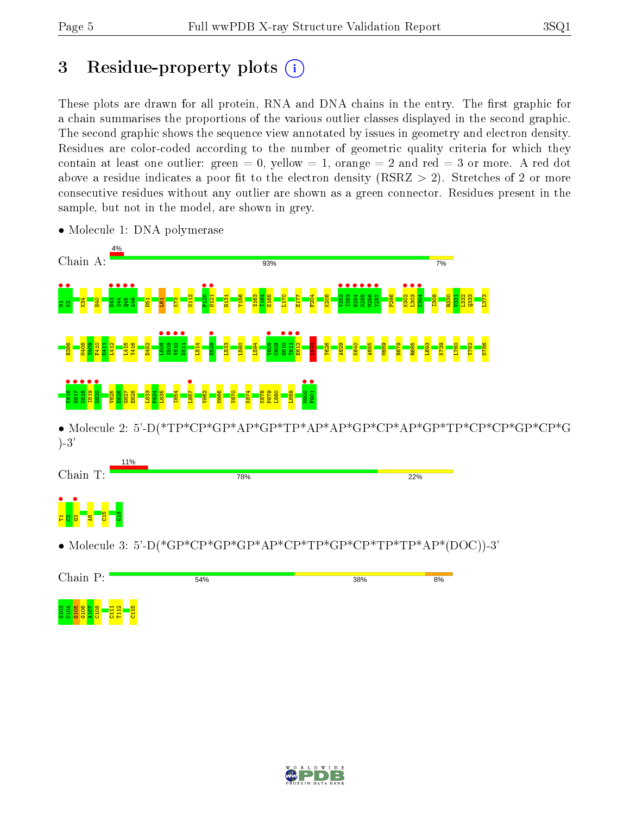# 3 Residue-property plots  $(i)$

These plots are drawn for all protein, RNA and DNA chains in the entry. The first graphic for a chain summarises the proportions of the various outlier classes displayed in the second graphic. The second graphic shows the sequence view annotated by issues in geometry and electron density. Residues are color-coded according to the number of geometric quality criteria for which they contain at least one outlier: green  $= 0$ , yellow  $= 1$ , orange  $= 2$  and red  $= 3$  or more. A red dot above a residue indicates a poor fit to the electron density (RSRZ  $> 2$ ). Stretches of 2 or more consecutive residues without any outlier are shown as a green connector. Residues present in the sample, but not in the model, are shown in grey.



• Molecule 1: DNA polymerase

• Molecule 2: 5'-D(\*TP\*CP\*GP\*AP\*GP\*TP\*AP\*AP\*GP\*CP\*AP\*GP\*TP\*CP\*CP\*GP\*CP\*G )-3'



• Molecule 3: 5'-D(\*GP\*CP\*GP\*GP\*AP\*CP\*TP\*GP\*CP\*TP\*TP\*AP\*(DOC))-3'



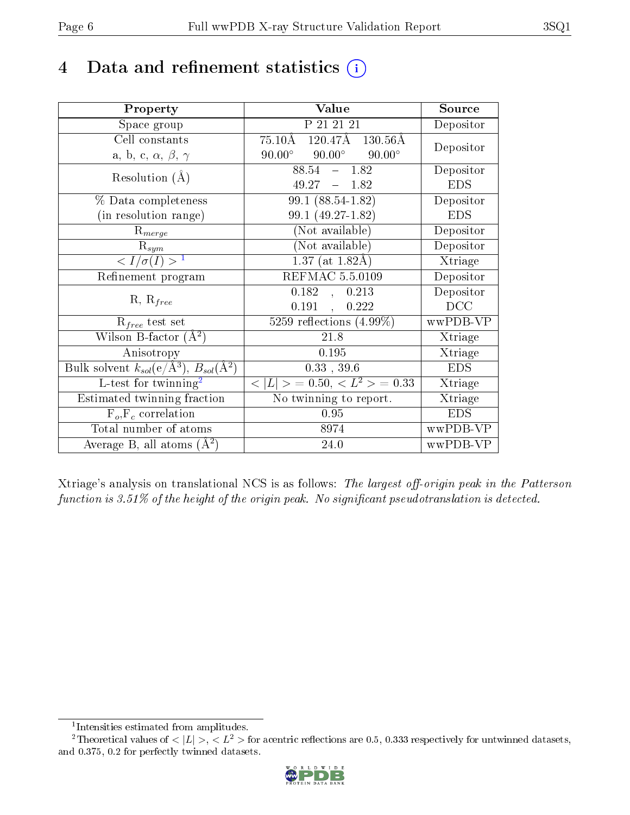# 4 Data and refinement statistics  $(i)$

| Property                                                         | Value                                                   | Source     |
|------------------------------------------------------------------|---------------------------------------------------------|------------|
| Space group                                                      | P 21 21 21                                              | Depositor  |
| Cell constants                                                   | $75.10\text{\AA}$ $120.47\text{\AA}$ $130.56\text{\AA}$ | Depositor  |
| a, b, c, $\alpha$ , $\beta$ , $\gamma$                           | $90.00^\circ$<br>$90.00^\circ$<br>$90.00^\circ$         |            |
| Resolution $(A)$                                                 | 88.54<br>$-1.82$                                        | Depositor  |
|                                                                  | $49.27 - 1.82$                                          | <b>EDS</b> |
| % Data completeness                                              | 99.1 (88.54-1.82)                                       | Depositor  |
| (in resolution range)                                            | 99.1 (49.27-1.82)                                       | <b>EDS</b> |
| $R_{merge}$                                                      | (Not available)                                         | Depositor  |
| $\mathrm{R}_{sym}$                                               | $(Not\ avariable)$                                      | Depositor  |
| $\langle I/\sigma(I) \rangle^{-1}$                               | $1.37$ (at 1.82Å)                                       | Xtriage    |
| Refinement program                                               | <b>REFMAC 5.5.0109</b>                                  | Depositor  |
|                                                                  | $\overline{0.182}$ ,<br>0.213                           | Depositor  |
| $R, R_{free}$                                                    | $0.191$ ,<br>0.222                                      | DCC        |
| $R_{free}$ test set                                              | 5259 reflections $(4.99\%)$                             | wwPDB-VP   |
| Wilson B-factor $(A^2)$                                          | 21.8                                                    | Xtriage    |
| Anisotropy                                                       | 0.195                                                   | Xtriage    |
| Bulk solvent $k_{sol}(\text{e}/\text{A}^3), B_{sol}(\text{A}^2)$ | 0.33, 39.6                                              | <b>EDS</b> |
| L-test for $\mathrm{twinning}^2$                                 | $< L >$ = 0.50, $< L^2 >$ = 0.33                        | Xtriage    |
| Estimated twinning fraction                                      | No twinning to report.                                  | Xtriage    |
| $\overline{F_o}, \overline{F_c}$ correlation                     | 0.95                                                    | <b>EDS</b> |
| Total number of atoms                                            | 8974                                                    | wwPDB-VP   |
| Average B, all atoms $(A^2)$                                     | 24.0                                                    | wwPDB-VP   |

Xtriage's analysis on translational NCS is as follows: The largest off-origin peak in the Patterson function is  $3.51\%$  of the height of the origin peak. No significant pseudotranslation is detected.

<sup>&</sup>lt;sup>2</sup>Theoretical values of  $\langle |L| \rangle$ ,  $\langle L^2 \rangle$  for acentric reflections are 0.5, 0.333 respectively for untwinned datasets, and 0.375, 0.2 for perfectly twinned datasets.



<span id="page-5-1"></span><span id="page-5-0"></span><sup>1</sup> Intensities estimated from amplitudes.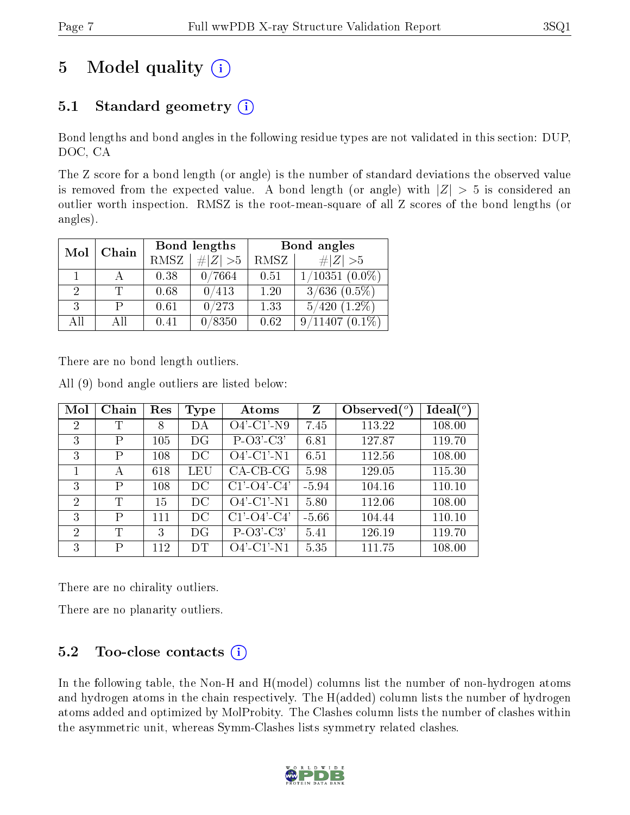# 5 Model quality  $(i)$

## 5.1 Standard geometry  $(i)$

Bond lengths and bond angles in the following residue types are not validated in this section: DUP, DOC, CA

The Z score for a bond length (or angle) is the number of standard deviations the observed value is removed from the expected value. A bond length (or angle) with  $|Z| > 5$  is considered an outlier worth inspection. RMSZ is the root-mean-square of all Z scores of the bond lengths (or angles).

| Mol | Chain | Bond lengths |             | Bond angles |                              |  |
|-----|-------|--------------|-------------|-------------|------------------------------|--|
|     |       | RMSZ         | $\ Z\  > 5$ | RMSZ        | # $ Z >5$                    |  |
|     |       | 0.38         | 0/7664      | 0.51        | $1/10351$ $(0.0\%)$          |  |
| 2   |       | 0.68         | 0/413       | 1.20        | $3/636$ $\overline{(0.5\%)}$ |  |
| 3   |       | 0.61         | 0/273       | 1.33        | $5/420$ $(1.2\%)$            |  |
| AĦ  | АH    | 0.41         | /8350       | 0.62        | 9/11407                      |  |

There are no bond length outliers.

|  |  |  |  | All (9) bond angle outliers are listed below: |  |  |  |  |
|--|--|--|--|-----------------------------------------------|--|--|--|--|
|--|--|--|--|-----------------------------------------------|--|--|--|--|

| Mol            | Chain | Res | <b>Type</b> | Atoms                 | Z       | Observed $(°)$ | Ideal $(^\circ)$ |
|----------------|-------|-----|-------------|-----------------------|---------|----------------|------------------|
| $\overline{2}$ | Т     | 8   | DA          | $O4'$ -C1'-N9         | 7.45    | 113.22         | 108.00           |
| 3              | P     | 105 | DG          | $P-O3'-C3'$           | 6.81    | 127.87         | 119.70           |
| 3              | P     | 108 | $_{\rm DC}$ | $O4'$ -C1'-N1         | 6.51    | 112.56         | 108.00           |
|                | А     | 618 | LEU         | $CA$ -CB-CG           | 5.98    | 129.05         | 115.30           |
| 3              | P     | 108 | DC          | $C1'-O4'-C4'$         | $-5.94$ | 104.16         | 110.10           |
| $\mathcal{D}$  | T     | 15  | DС          | $O4'$ -C1'-N1         | 5.80    | 112.06         | 108.00           |
| 3              | P     | 111 | DC          | $C1'$ - $O4'$ - $C4'$ | $-5.66$ | 104.44         | 110.10           |
| 2              | T     | 3   | DG          | $P-O3'-C3'$           | 5.41    | 126.19         | 119.70           |
| 3              | P     | 112 | DT          | $O4'$ -C1'-N1         | 5.35    | 111.75         | 108.00           |

There are no chirality outliers.

There are no planarity outliers.

### 5.2 Too-close contacts  $(i)$

In the following table, the Non-H and H(model) columns list the number of non-hydrogen atoms and hydrogen atoms in the chain respectively. The H(added) column lists the number of hydrogen atoms added and optimized by MolProbity. The Clashes column lists the number of clashes within the asymmetric unit, whereas Symm-Clashes lists symmetry related clashes.

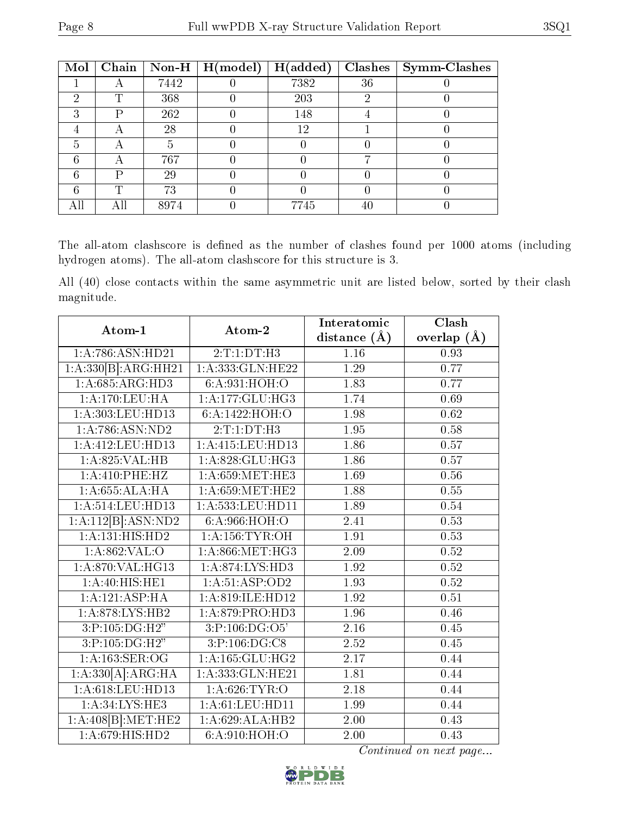| Mol | Chain |      | Non-H $\mid$ H(model) | H(added) | <b>Clashes</b> | <b>Symm-Clashes</b> |
|-----|-------|------|-----------------------|----------|----------------|---------------------|
|     |       | 7442 |                       | 7382     | 36             |                     |
| റ   | ╓     | 368  |                       | 203      |                |                     |
| 3   | D     | 262  |                       | 148      |                |                     |
|     |       | 28   |                       | 12       |                |                     |
| 5   | 宀     | h    |                       |          |                |                     |
| 6   |       | 767  |                       |          |                |                     |
| 6   | D     | 29   |                       |          |                |                     |
|     | ௱     | 73   |                       |          |                |                     |
| All |       | 8974 |                       | 7745     | 40             |                     |

The all-atom clashscore is defined as the number of clashes found per 1000 atoms (including hydrogen atoms). The all-atom clashscore for this structure is 3.

All (40) close contacts within the same asymmetric unit are listed below, sorted by their clash magnitude.

| Atom-1              | Atom-2             | Interatomic       | Clash         |
|---------------------|--------------------|-------------------|---------------|
|                     |                    | distance $(A)$    | overlap $(A)$ |
| 1:A:786:ASN:HD21    | 2:T:1:DT:H3        | 1.16              | 0.93          |
| 1:A:330[B]:ARG:HH21 | 1:A:333: GLN: HE22 | 1.29              | 0.77          |
| 1:A:685:ARG:HD3     | 6:A:931:HOH:O      | 1.83              | 0.77          |
| 1:A:170:LEU:HA      | 1:A:177:GLU:HG3    | 1.74              | 0.69          |
| 1:A:303:LEU:HD13    | 6:A:1422:HOH:O     | 1.98              | 0.62          |
| 1: A:786: ASN:ND2   | 2:T:1:DT:H3        | 1.95              | 0.58          |
| 1:A:412:LEU:HD13    | 1:A:415:LEU:HD13   | 1.86              | 0.57          |
| 1:A:825:VAL:HB      | 1:A:828:GLU:HG3    | 1.86              | 0.57          |
| 1: A:410: PHE:HZ    | 1: A:659:MET:HE3   | 1.69              | 0.56          |
| 1:A:655:ALA:HA      | 1: A:659:MET:HE2   | 1.88              | 0.55          |
| 1: A:514:LEU:HD13   | 1:A:533:LEU:HD11   | 1.89              | 0.54          |
| 1:A:112[B]:ASN:ND2  | 6: A:966: HOH:O    | $\overline{2.41}$ | 0.53          |
| 1:A:131:HIS:HD2     | 1: A: 156: TYR: OH | 1.91              | 0.53          |
| 1:A:862:VAL:O       | 1: A:866:MET:HG3   | 2.09              | 0.52          |
| 1:A:870:VAL:HG13    | 1: A:874: LYS: HD3 | 1.92              | 0.52          |
| 1: A:40: HIS: HE1   | 1:A:51:ASP:OD2     | 1.93              | 0.52          |
| 1:A:121:ASP:HA      | 1:A:819:ILE:HD12   | 1.92              | 0.51          |
| 1: A:878: LYS: HB2  | 1:A:879:PRO:HD3    | 1.96              | 0.46          |
| 3:P:105:DG:H2"      | 3:P:106:DG:O5      | 2.16              | 0.45          |
| 3:P:105:DG:H2"      | 3:P:106:DG:C8      | 2.52              | 0.45          |
| 1: A: 163: SER: OG  | 1:A:165:GLU:HG2    | $\overline{2.17}$ | 0.44          |
| 1:A:330[A]:ARG:HA   | 1:A:333:GLN:HE21   | 1.81              | 0.44          |
| 1:A:618:LEU:HD13    | 1: A:626:TYR:O     | 2.18              | 0.44          |
| 1: A:34: LYS: HE3   | 1: A:61:LEU:HD11   | 1.99              | 0.44          |
| 1:A:408[B]:MET:HE2  | 1:A:629:ALA:HB2    | 2.00              | 0.43          |
| 1:A:679:HIS:HD2     | 6:A:910:HOH:O      | 2.00              | 0.43          |

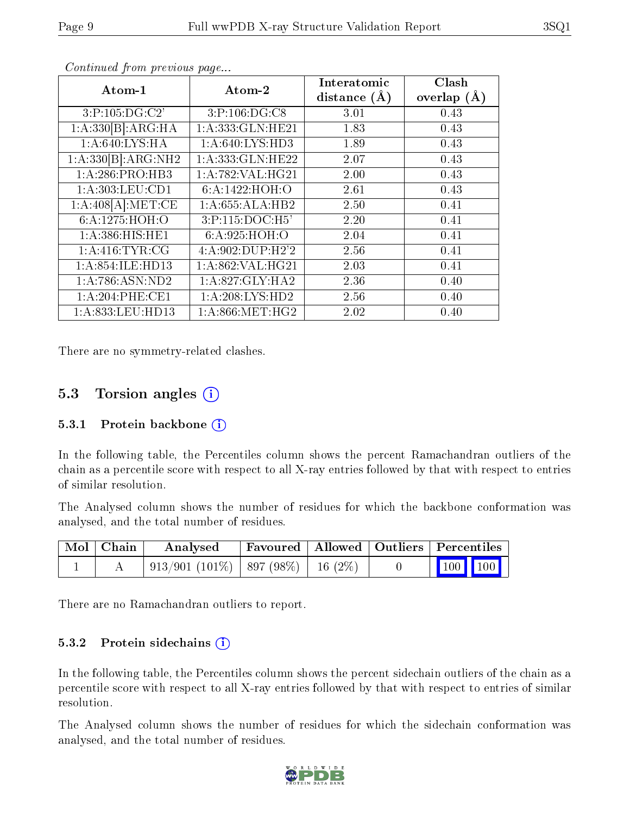| Atom-1                         | Atom-2                                   | Interatomic<br>distance $(A)$ | Clash<br>overlap $(\AA)$ |
|--------------------------------|------------------------------------------|-------------------------------|--------------------------|
|                                |                                          |                               |                          |
| 3:P:105:DG:C2'                 | 3:P:106:DG:CS                            | 3.01                          | 0.43                     |
| $1:A:330[B]:\overline{ARG:HA}$ | 1:A:333:GLN:HE21                         | 1.83                          | 0.43                     |
| 1: A:640: LYS: HA              | 1: A:640: LYS: HD3                       | 1.89                          | 0.43                     |
| 1:A:330[B]:ARG:NH2             | $1:$ A:333:GLN:HE22                      | 2.07                          | 0.43                     |
| 1:A:286:PRO:HB3                | 1: A:782: VAL:HG21                       | 2.00                          | 0.43                     |
| 1: A:303:LEU:CD1               | 6:A:1422:HOH:O                           | 2.61                          | 0.43                     |
| 1:A:408[A]:MET:CE              | 1:A:655:ALA:HB2                          | 2.50                          | 0.41                     |
| 6: A: 1275: HOH:O              | 3:P:115:DOC:H5'                          | 2.20                          | 0.41                     |
| 1: A:386: HIS: HE1             | 6: A:925: HOH:O                          | 2.04                          | 0.41                     |
| 1: A:416: TYR: CG              | 4: A:902: DUP: H2'2                      | 2.56                          | 0.41                     |
| 1: A:854: ILE: HD13            | 1: A:862: VAL:HG21                       | 2.03                          | 0.41                     |
| 1: A:786: ASN:ND2              | $1:A:827:GLY:\overline{H} \overline{A2}$ | 2.36                          | 0.40                     |
| 1:A:204:PHE:CE1                | 1:A:208:LYS:HD2                          | 2.56                          | 0.40                     |
| 1: A: 833: LEU: HD13           | 1: A:866:MET:HG2                         | 2.02                          | 0.40                     |

Continued from previous page...

There are no symmetry-related clashes.

### 5.3 Torsion angles (i)

#### 5.3.1 Protein backbone  $(i)$

In the following table, the Percentiles column shows the percent Ramachandran outliers of the chain as a percentile score with respect to all X-ray entries followed by that with respect to entries of similar resolution.

The Analysed column shows the number of residues for which the backbone conformation was analysed, and the total number of residues.

| $\mid$ Mol $\mid$ Chain $\mid$ | Analysed                             | $\mid$ Favoured $\mid$ Allowed $\mid$ Outliers $\mid$ Percentiles |  |                                                            |  |
|--------------------------------|--------------------------------------|-------------------------------------------------------------------|--|------------------------------------------------------------|--|
|                                | 913/901 (101%)   897 (98%)   16 (2%) |                                                                   |  | $\begin{array}{ c c c c }\n\hline\n100 & 100\n\end{array}$ |  |

There are no Ramachandran outliers to report.

#### 5.3.2 Protein sidechains  $(i)$

In the following table, the Percentiles column shows the percent sidechain outliers of the chain as a percentile score with respect to all X-ray entries followed by that with respect to entries of similar resolution.

The Analysed column shows the number of residues for which the sidechain conformation was analysed, and the total number of residues.

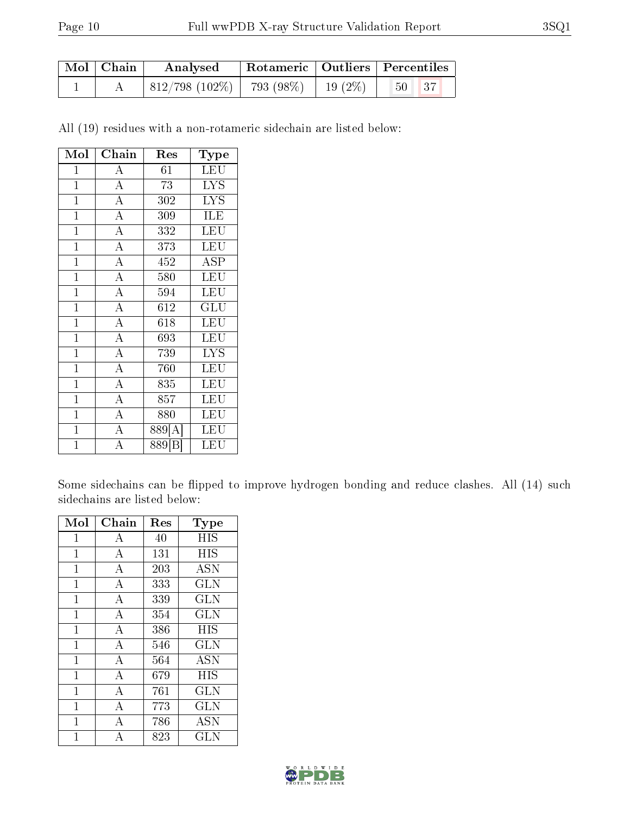| Mol   Chain | Analysed                                                      | Rotameric   Outliers   Percentiles |                                      |  |
|-------------|---------------------------------------------------------------|------------------------------------|--------------------------------------|--|
|             | $\mid 812/798 \; (102\%) \mid 793 \; (98\%) \mid 19 \; (2\%)$ |                                    | $\vert 50 \vert$<br>$\vert 37 \vert$ |  |

All (19) residues with a non-rotameric sidechain are listed below:

| Mol            | Chain              | Res                | Type       |
|----------------|--------------------|--------------------|------------|
| $\mathbf{1}$   | $\boldsymbol{A}$   | 61                 | LEU        |
| $\mathbf 1$    | $\overline{\rm A}$ | 73                 | <b>LYS</b> |
| $\mathbf{1}$   | $\overline{\rm A}$ | 302                | <b>LYS</b> |
| $\mathbf{1}$   | $\overline{\rm A}$ | 309                | ILE        |
| $\mathbf{1}$   | $\overline{\rm A}$ | 332                | LEU        |
| $\mathbf 1$    | $\overline{\rm A}$ | 373                | LEU        |
| $\mathbf{1}$   | $\overline{\rm A}$ | 452                | ASP        |
| $\overline{1}$ | $\overline{A}$     | 580                | LEU        |
| $\overline{1}$ | $\overline{\rm A}$ | 594                | LEU        |
| $\mathbf{1}$   | $\overline{A}$     | 612                | GLU        |
| $\overline{1}$ | $\overline{\rm A}$ | 618                | LEU        |
| $\mathbf 1$    | $\overline{\rm A}$ | 693                | LEU        |
| $\mathbf 1$    | $\overline{\rm A}$ | 739                | <b>LYS</b> |
| $\mathbf 1$    | $\overline{\rm A}$ | 760                | LEU        |
| $\mathbf{1}$   | $\overline{A}$     | 835                | LEU        |
| $\overline{1}$ | $\overline{A}$     | 857                | LEU        |
| $\mathbf{1}$   | $\overline{A}$     | 880                | LEU        |
| $\mathbf 1$    | $\overline{\rm A}$ | 889[A]             | LEU        |
| $\mathbf 1$    | А                  | 889 <sup>[B]</sup> | LEU        |

Some sidechains can be flipped to improve hydrogen bonding and reduce clashes. All (14) such sidechains are listed below:

| Mol            | ${\rm Chain}$      | Res | Type         |
|----------------|--------------------|-----|--------------|
| $\mathbf{1}$   | А                  | 40  | HIS          |
| $\mathbf{1}$   | A                  | 131 | <b>HIS</b>   |
| $\mathbf{1}$   | A                  | 203 | <b>ASN</b>   |
| $\mathbf{1}$   | $\overline{A}$     | 333 | <b>GLN</b>   |
| $\mathbf{1}$   | $\overline{\rm A}$ | 339 | GLN          |
| $\mathbf 1$    | $\overline{A}$     | 354 | <b>GLN</b>   |
| $\mathbf{1}$   | $\overline{A}$     | 386 | HIS          |
| $\mathbf{1}$   | $\overline{\rm A}$ | 546 | <b>GLN</b>   |
| $\mathbf{1}$   | $\overline{A}$     | 564 | ASN          |
| $\mathbf{1}$   | $\overline{\rm A}$ | 679 | <b>HIS</b>   |
| $\mathbf{1}$   | A                  | 761 | GLN          |
| $\mathbf{1}$   | A                  | 773 | <b>GLN</b>   |
| $\overline{1}$ | A                  | 786 | ASN          |
| 1              | A                  | 823 | $_{\rm GLN}$ |

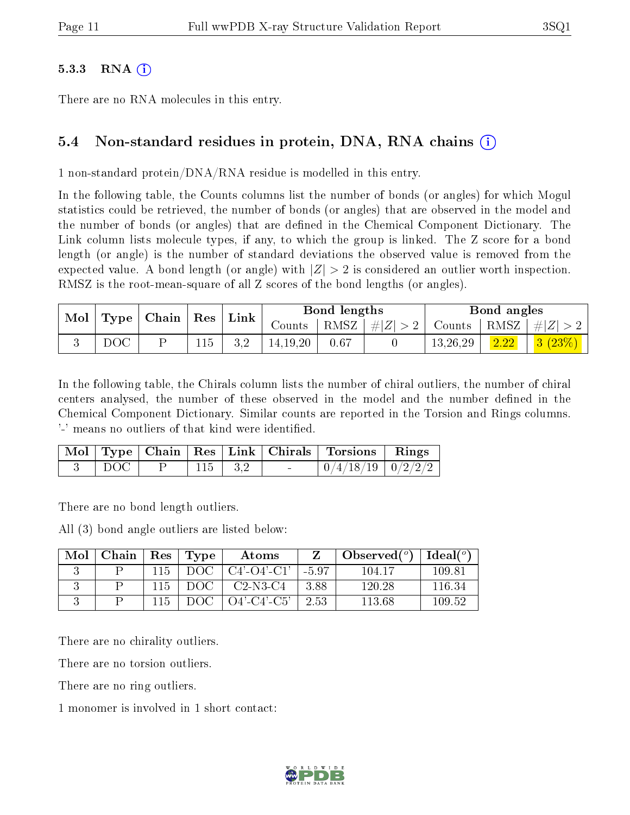#### 5.3.3 RNA  $(i)$

There are no RNA molecules in this entry.

#### 5.4 Non-standard residues in protein, DNA, RNA chains (i)

1 non-standard protein/DNA/RNA residue is modelled in this entry.

In the following table, the Counts columns list the number of bonds (or angles) for which Mogul statistics could be retrieved, the number of bonds (or angles) that are observed in the model and the number of bonds (or angles) that are dened in the Chemical Component Dictionary. The Link column lists molecule types, if any, to which the group is linked. The Z score for a bond length (or angle) is the number of standard deviations the observed value is removed from the expected value. A bond length (or angle) with  $|Z| > 2$  is considered an outlier worth inspection. RMSZ is the root-mean-square of all Z scores of the bond lengths (or angles).

| $\mid$ Mol $\mid$ Type $\mid$ Chain $\mid$ Res $\mid$ Link $\mid$ |                 |  | Bond lengths |            |      | Bond angles |          |        |                                                                              |
|-------------------------------------------------------------------|-----------------|--|--------------|------------|------|-------------|----------|--------|------------------------------------------------------------------------------|
|                                                                   |                 |  |              | Counts     |      |             |          |        | $\mid$ RMSZ $\mid \#  Z  > 2 \mid$ Counts $\mid$ RMSZ $\mid \#  Z  > 2 \mid$ |
|                                                                   | $_{\text{DOC}}$ |  | 115          | 14, 19, 20 | 0.67 |             | 13,26,29 | $2.22$ | $\mid$ $3 \ (23\%) \ \mid$                                                   |

In the following table, the Chirals column lists the number of chiral outliers, the number of chiral centers analysed, the number of these observed in the model and the number defined in the Chemical Component Dictionary. Similar counts are reported in the Torsion and Rings columns. '-' means no outliers of that kind were identified.

|             |  |                                         | Mol   Type   Chain   Res   Link   Chirals   Torsions   Rings |  |
|-------------|--|-----------------------------------------|--------------------------------------------------------------|--|
| $\perp$ DOC |  | $115 \begin{array}{ c} 3.2 \end{array}$ | $\mid 0/4/18/19 \mid 0/2/2/2 \mid$                           |  |

There are no bond length outliers.

All (3) bond angle outliers are listed below:

| Mol | Chain | Res  | Type | Atoms                 |         | Observed $(°)$ | Ideal $(^\circ)$ |
|-----|-------|------|------|-----------------------|---------|----------------|------------------|
|     |       | 115  | DOG  | $C4'$ - $O4'$ - $C1'$ | $-5.97$ | 104.17         | 109.81           |
|     |       | 115. | DOC. | $C2-N3-C4$            | 3.88    | 120.28         | 116.34           |
|     |       | 115. | ാറല  | O4'-C4'-C5'           | 2.53    | 113.68         | 109.52           |

There are no chirality outliers.

There are no torsion outliers.

There are no ring outliers.

1 monomer is involved in 1 short contact:

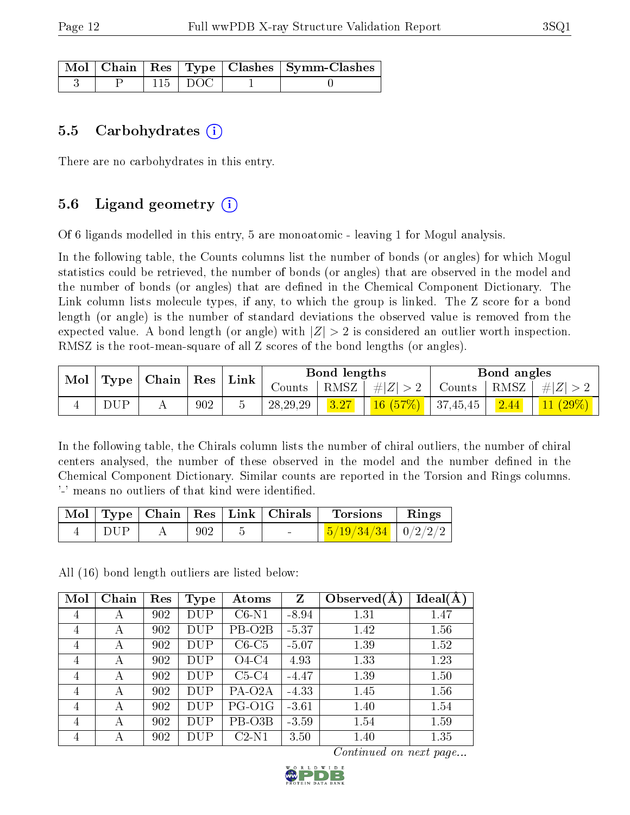|  |              | Mol   Chain   Res   Type   Clashes   Symm-Clashes |
|--|--------------|---------------------------------------------------|
|  | $-115$   DOC |                                                   |

#### 5.5 Carbohydrates  $(i)$

There are no carbohydrates in this entry.

### 5.6 Ligand geometry  $(i)$

Of 6 ligands modelled in this entry, 5 are monoatomic - leaving 1 for Mogul analysis.

In the following table, the Counts columns list the number of bonds (or angles) for which Mogul statistics could be retrieved, the number of bonds (or angles) that are observed in the model and the number of bonds (or angles) that are defined in the Chemical Component Dictionary. The Link column lists molecule types, if any, to which the group is linked. The Z score for a bond length (or angle) is the number of standard deviations the observed value is removed from the expected value. A bond length (or angle) with  $|Z| > 2$  is considered an outlier worth inspection. RMSZ is the root-mean-square of all Z scores of the bond lengths (or angles).

| Mol | Type | Chain<br>$\operatorname{Res}$ |     | Link | Bond lengths |      |                  | Bond angles          |                       |           |
|-----|------|-------------------------------|-----|------|--------------|------|------------------|----------------------|-----------------------|-----------|
|     |      |                               |     |      | Counts       | RMSZ | $7 + \#  Z  > 2$ | Counts               | $+$ RMSZ <sub>+</sub> | $\pm  Z $ |
|     | DUP  |                               | 902 |      | 28, 29, 29   | 3.27 | 16(57%)          | $\mid 37,45,45 \mid$ | 2.44                  | 11(29%)   |

In the following table, the Chirals column lists the number of chiral outliers, the number of chiral centers analysed, the number of these observed in the model and the number defined in the Chemical Component Dictionary. Similar counts are reported in the Torsion and Rings columns. '-' means no outliers of that kind were identified.

|     |     | $\mathcal{N}$ ol   Type   Chain   Res   Link   Chirals | <b>Torsions</b>                | Rings |
|-----|-----|--------------------------------------------------------|--------------------------------|-------|
| DHP | 902 | -                                                      | $\frac{5}{19}/34/34$   0/2/2/2 |       |

All (16) bond length outliers are listed below:

| Mol | Chain | Res | <b>Type</b> | Atoms               | Z       | Observed $(A)$ | Ideal(A) |
|-----|-------|-----|-------------|---------------------|---------|----------------|----------|
| 4   | A     | 902 | <b>DUP</b>  | $C6-N1$             | $-8.94$ | 1.31           | 1.47     |
| 4   | А     | 902 | <b>DUP</b>  | PB-O <sub>2</sub> B | $-5.37$ | 1.42           | 1.56     |
| 4   | А     | 902 | DUP         | $C6-C5$             | $-5.07$ | 1.39           | 1.52     |
| 4   | А     | 902 | <b>DUP</b>  | $O4-C4$             | 4.93    | 1.33           | 1.23     |
| 4   | А     | 902 | <b>DUP</b>  | $C5-C4$             | $-4.47$ | 1.39           | 1.50     |
| 4   | А     | 902 | <b>DUP</b>  | PA-O <sub>2</sub> A | $-4.33$ | 1.45           | 1.56     |
| 4   | А     | 902 | <b>DUP</b>  | PG-O1G              | $-3.61$ | 1.40           | 1.54     |
| 4   | А     | 902 | <b>DUP</b>  | PB-O3B              | $-3.59$ | 1.54           | 1.59     |
| 4   | А     | 902 | DUP         | $C2-N1$             | 3.50    | 1.40           | 1.35     |

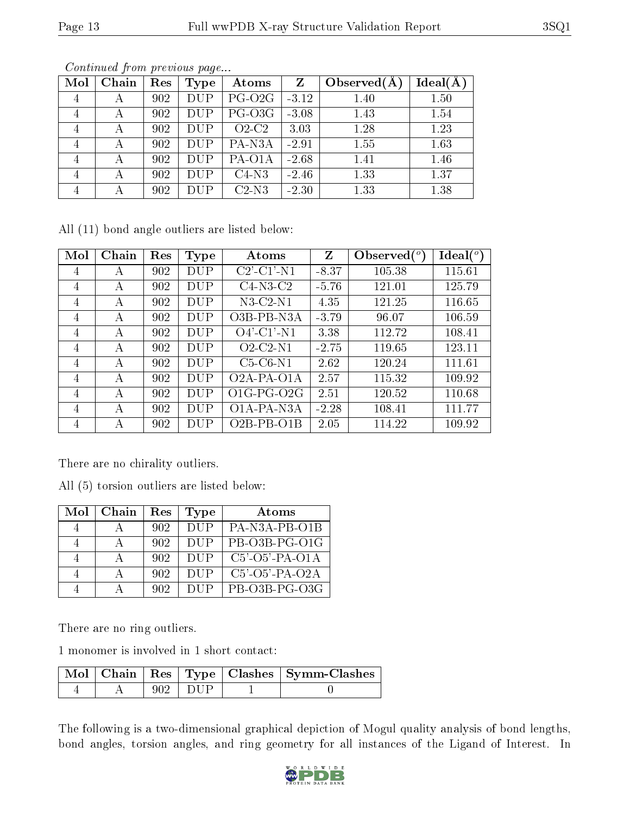| Mol            | Chain | Res | <b>Type</b> | Atoms               | Z       | Observed $(A$ | Ideal(A) |
|----------------|-------|-----|-------------|---------------------|---------|---------------|----------|
| $\overline{4}$ |       | 902 | <b>DUP</b>  | PG-O <sub>2G</sub>  | $-3.12$ | 1.40          | 1.50     |
| 4              | А     | 902 | <b>DUP</b>  | PG-O3G              | $-3.08$ | 1.43          | 1.54     |
| $\overline{4}$ |       | 902 | <b>DUP</b>  | $O2-C2$             | 3.03    | 1.28          | 1.23     |
| 4              | А     | 902 | <b>DUP</b>  | PA-N <sub>3</sub> A | $-2.91$ | 1.55          | 1.63     |
| 4              |       | 902 | <b>DUP</b>  | PA-O1A              | $-2.68$ | 1.41          | 1.46     |
| $\overline{4}$ | А     | 902 | <b>DUP</b>  | $C4-N3$             | $-2.46$ | 1.33          | 1.37     |
| $\overline{4}$ |       | 902 | <b>DUP</b>  | $C2-N3$             | $-2.30$ | 1.33          | 1.38     |

Continued from previous page...

All (11) bond angle outliers are listed below:

| Mol            | Chain | Res | <b>Type</b> | Atoms                                    | Z       | Observed $(°)$ | $Ideal(^o)$ |
|----------------|-------|-----|-------------|------------------------------------------|---------|----------------|-------------|
| $\overline{4}$ | А     | 902 | DUP         | $C2$ <sup>-</sup> $C1$ <sup>-</sup> $N1$ | $-8.37$ | 105.38         | 115.61      |
| $\overline{4}$ | А     | 902 | <b>DUP</b>  | $C4-N3-C2$                               | $-5.76$ | 121.01         | 125.79      |
| $\overline{4}$ | А     | 902 | DUP         | $N3-C2-N1$                               | 4.35    | 121.25         | 116.65      |
| $\overline{4}$ | А     | 902 | DUP         | O3B-PB-N3A                               | $-3.79$ | 96.07          | 106.59      |
| $\overline{4}$ | А     | 902 | DUP         | $O4'$ -C1'-N1                            | 3.38    | 112.72         | 108.41      |
| $\overline{4}$ | А     | 902 | DUP         | $O2-C2-N1$                               | $-2.75$ | 119.65         | 123.11      |
| $\overline{4}$ | А     | 902 | DUP         | $C5-C6-N1$                               | 2.62    | 120.24         | 111.61      |
| $\overline{4}$ | А     | 902 | DUP         | O <sub>2</sub> A-PA-O <sub>1</sub> A     | 2.57    | 115.32         | 109.92      |
| $\overline{4}$ | A     | 902 | DUP         | $O1G-PG-O2G$                             | 2.51    | 120.52         | 110.68      |
| 4              | А     | 902 | DUP         | O1A-PA-N3A                               | $-2.28$ | 108.41         | 111.77      |
| 4              | А     | 902 | DUP         | $O2B-PB-O1B$                             | 2.05    | 114.22         | 109.92      |

There are no chirality outliers.

All (5) torsion outliers are listed below:

| Mol | Chain | Res | Type       | Atoms             |
|-----|-------|-----|------------|-------------------|
|     |       | 902 | <b>DUP</b> | PA-N3A-PB-O1B     |
|     |       | 902 | <b>DUP</b> | PB-O3B-PG-O1G     |
|     |       | 902 | <b>DUP</b> | $C5'$ -O5'-PA-O1A |
|     |       | 902 | <b>DUP</b> | $C5'$ -O5'-PA-O2A |
|     |       | 902 |            | $PB-O3B-PG-O3G$   |

There are no ring outliers.

1 monomer is involved in 1 short contact:

|  |       | Mol   Chain   Res   Type   Clashes   Symm-Clashes |
|--|-------|---------------------------------------------------|
|  | 1 DUE |                                                   |

The following is a two-dimensional graphical depiction of Mogul quality analysis of bond lengths, bond angles, torsion angles, and ring geometry for all instances of the Ligand of Interest. In

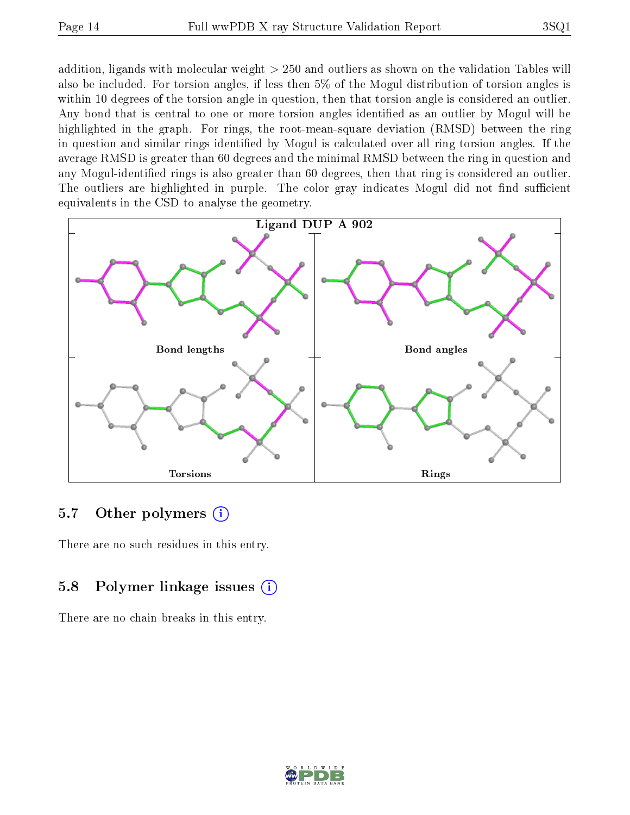addition, ligands with molecular weight > 250 and outliers as shown on the validation Tables will also be included. For torsion angles, if less then 5% of the Mogul distribution of torsion angles is within 10 degrees of the torsion angle in question, then that torsion angle is considered an outlier. Any bond that is central to one or more torsion angles identified as an outlier by Mogul will be highlighted in the graph. For rings, the root-mean-square deviation (RMSD) between the ring in question and similar rings identified by Mogul is calculated over all ring torsion angles. If the average RMSD is greater than 60 degrees and the minimal RMSD between the ring in question and any Mogul-identied rings is also greater than 60 degrees, then that ring is considered an outlier. The outliers are highlighted in purple. The color gray indicates Mogul did not find sufficient equivalents in the CSD to analyse the geometry.



#### 5.7 [O](https://www.wwpdb.org/validation/2017/XrayValidationReportHelp#nonstandard_residues_and_ligands)ther polymers  $(i)$

There are no such residues in this entry.

### 5.8 Polymer linkage issues  $(i)$

There are no chain breaks in this entry.

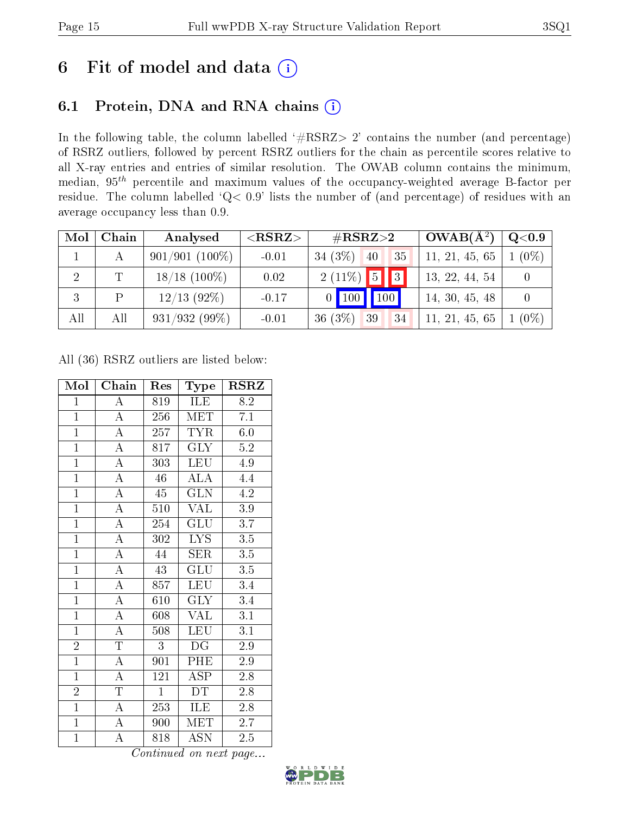# 6 Fit of model and data  $(i)$

## 6.1 Protein, DNA and RNA chains  $(i)$

In the following table, the column labelled  $#RSRZ> 2'$  contains the number (and percentage) of RSRZ outliers, followed by percent RSRZ outliers for the chain as percentile scores relative to all X-ray entries and entries of similar resolution. The OWAB column contains the minimum, median,  $95<sup>th</sup>$  percentile and maximum values of the occupancy-weighted average B-factor per residue. The column labelled ' $Q< 0.9$ ' lists the number of (and percentage) of residues with an average occupancy less than 0.9.

| Mol            | Chain | Analysed         | ${ <\hspace{-1.5pt}{\mathrm{RSRZ}} \hspace{-1.5pt}>}$ | $\#\text{RSRZ}\text{>2}$      | $OWAB(A^2)$    | $Q<$ 0.9 |
|----------------|-------|------------------|-------------------------------------------------------|-------------------------------|----------------|----------|
|                |       | $901/901(100\%)$ | $-0.01$                                               | $34(3\%)$<br>35<br>40         | 11, 21, 45, 65 | $(0\%)$  |
| $\overline{2}$ | T     | $18/18$ (100\%)  | 0.02                                                  | $2(11\%)$ 5 3                 | 13, 22, 44, 54 |          |
|                | P     | $12/13$ (92%)    | $-0.17$                                               | 100   100  <br>$\overline{0}$ | 14, 30, 45, 48 |          |
| All            | All   | $931/932(99\%)$  | $-0.01$                                               | $36(3\%)$<br>39<br>34         | 11, 21, 45, 65 | $(0\%)$  |

All (36) RSRZ outliers are listed below:

| Mol            | Chain                   | Res              | Type                      | $\rm RSRZ$       |
|----------------|-------------------------|------------------|---------------------------|------------------|
| $\mathbf{1}$   | $\boldsymbol{A}$        | 819              | <b>ILE</b>                | 8.2              |
| $\overline{1}$ | $\overline{A}$          | 256              | <b>MET</b>                | $\overline{7.1}$ |
| $\overline{1}$ | $\overline{\rm A}$      | 257              | <b>TYR</b>                | 6.0              |
| $\overline{1}$ | $\overline{A}$          | 817              | $\overline{\text{GLY}}$   | $\overline{5.2}$ |
| $\mathbf{1}$   | $\overline{\rm A}$      | 303              | <b>LEU</b>                | 4.9              |
| $\overline{1}$ | $\overline{A}$          | $\overline{46}$  | $\overline{\rm ALA}$      | 4.4              |
| $\overline{1}$ | $\overline{\rm A}$      | $45\overline{ }$ | $\overline{\text{GLN}}$   | 4.2              |
| $\overline{1}$ | $\overline{A}$          | 510              | <b>VAL</b>                | $3.9\,$          |
| $\overline{1}$ | $\overline{A}$          | 254              | $\overline{\text{GLU}}$   | $\overline{3.7}$ |
| $\overline{1}$ | $\overline{\rm A}$      | 302              | LYS.                      | $3.5\,$          |
| $\overline{1}$ | $\overline{A}$          | 44               | <b>SER</b>                | $\overline{3.5}$ |
| $\overline{1}$ | $\overline{\rm A}$      | 43               | GLU                       | $3.5\,$          |
| $\overline{1}$ | $\overline{\rm A}$      | 857              | <b>LEU</b>                | 3.4              |
| $\overline{1}$ | $\overline{\rm A}$      | 610              | $\overline{\text{GLY}}$   | 3.4              |
| $\overline{1}$ | $\overline{\rm A}$      | 608              | <b>VAL</b>                | $\overline{3.1}$ |
| $\overline{1}$ | $\overline{A}$          | 508              | <b>LEU</b>                | $\overline{3.1}$ |
| $\overline{2}$ | $\overline{\mathrm{T}}$ | 3                | DG                        | 2.9              |
| $\overline{1}$ | $\overline{A}$          | 901              | PHE                       | 2.9              |
| $\overline{1}$ | $\overline{\rm A}$      | 121              | $\operatorname{ASP}$      | 2.8              |
| $\overline{2}$ | $\overline{T}$          | $\mathbf{1}$     | <b>DT</b>                 | 2.8              |
| $\overline{1}$ | $\overline{A}$          | 253              | ILE                       | 2.8              |
| $\overline{1}$ | $\overline{\rm A}$      | 900              | MET                       | 2.7              |
| $\mathbf{1}$   | $\overline{\rm A}$      | 818              | $\overline{\mathrm{ASN}}$ | 2.5              |

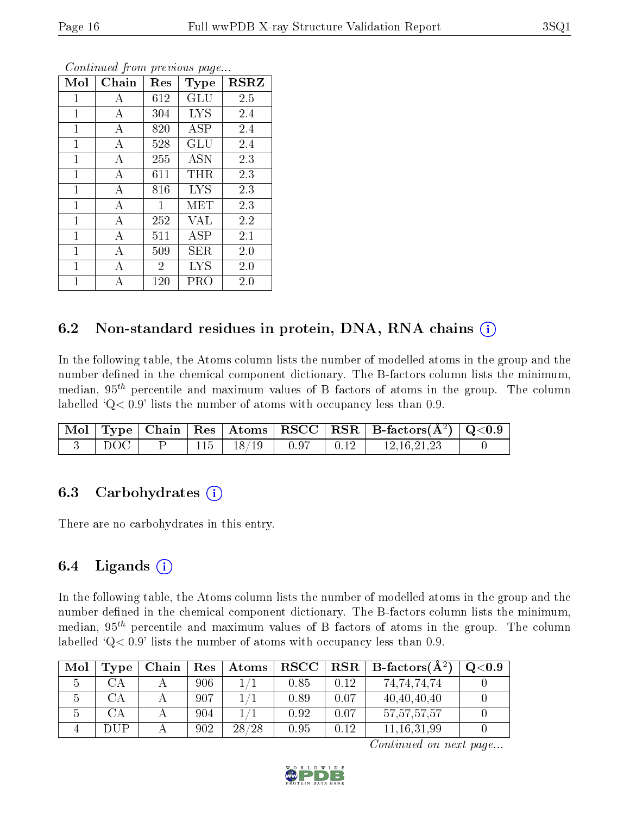| Mol            | Chain | Res            | Type       | <b>RSRZ</b> |
|----------------|-------|----------------|------------|-------------|
| $\mathbf 1$    | А     | 612            | GLU        | 2.5         |
| 1              | А     | 304            | <b>LYS</b> | 2.4         |
| $\mathbf{1}$   | А     | 820            | ASP        | 2.4         |
| $\mathbf 1$    | А     | 528            | GLU        | 2.4         |
| $\mathbf 1$    | А     | 255            | ASN        | 2.3         |
| $\overline{1}$ | А     | 611            | THR        | 2.3         |
| $\mathbf 1$    | А     | 816            | <b>LYS</b> | 2.3         |
| $\mathbf{1}$   | А     | 1              | MET        | 2.3         |
| $\mathbf{1}$   | А     | 252            | <b>VAL</b> | 2.2         |
| $\mathbf{1}$   | A     | 511            | ASP        | 2.1         |
| $\mathbf 1$    | А     | 509            | SER        | 2.0         |
| $\mathbf{1}$   | А     | $\overline{2}$ | <b>LYS</b> | 2.0         |
| $\mathbf 1$    | А     | 120            | PRO        | 2.0         |

Continued from previous page...

### 6.2 Non-standard residues in protein, DNA, RNA chains  $(i)$

In the following table, the Atoms column lists the number of modelled atoms in the group and the number defined in the chemical component dictionary. The B-factors column lists the minimum, median,  $95<sup>th</sup>$  percentile and maximum values of B factors of atoms in the group. The column labelled  $Q < 0.9$ ' lists the number of atoms with occupancy less than 0.9.

|  |  |                     |      |                                | $\mid$ Mol $\mid$ Type $\mid$ Chain $\mid$ Res $\mid$ Atoms $\mid$ RSCC $\mid$ RSR $\mid$ B-factors(A <sup>2</sup> ) $\mid$ Q<0.9 |  |
|--|--|---------------------|------|--------------------------------|-----------------------------------------------------------------------------------------------------------------------------------|--|
|  |  | $115 \;   \; 18/19$ | 0.97 | $\therefore$ 0.12 $\therefore$ | - 12 16 21 23                                                                                                                     |  |

#### 6.3 Carbohydrates (i)

There are no carbohydrates in this entry.

### 6.4 Ligands  $(i)$

In the following table, the Atoms column lists the number of modelled atoms in the group and the number defined in the chemical component dictionary. The B-factors column lists the minimum, median,  $95<sup>th</sup>$  percentile and maximum values of B factors of atoms in the group. The column labelled  $Q< 0.9$ ' lists the number of atoms with occupancy less than 0.9.

| Mol | Type                   | Chain | Res | Atoms | $_{\rm RSCC}$ |      | $R$ RSR   B-factors( $A^2$ ) | Q <sub>0.9</sub> |
|-----|------------------------|-------|-----|-------|---------------|------|------------------------------|------------------|
|     | ЭA                     |       | 906 |       | 0.85          | 0.12 | 74,74,74,74                  |                  |
|     | $\mathbb{C}\mathrm{A}$ |       | 907 |       | 0.89          | 0.07 | 40,40,40,40                  |                  |
|     | CА                     |       | 904 |       | 0.92          | 0.07 | 57, 57, 57, 57               |                  |
|     | DHP                    |       | 902 | 28/28 | 0.95          | 0.12 | 11.16.31.99                  |                  |